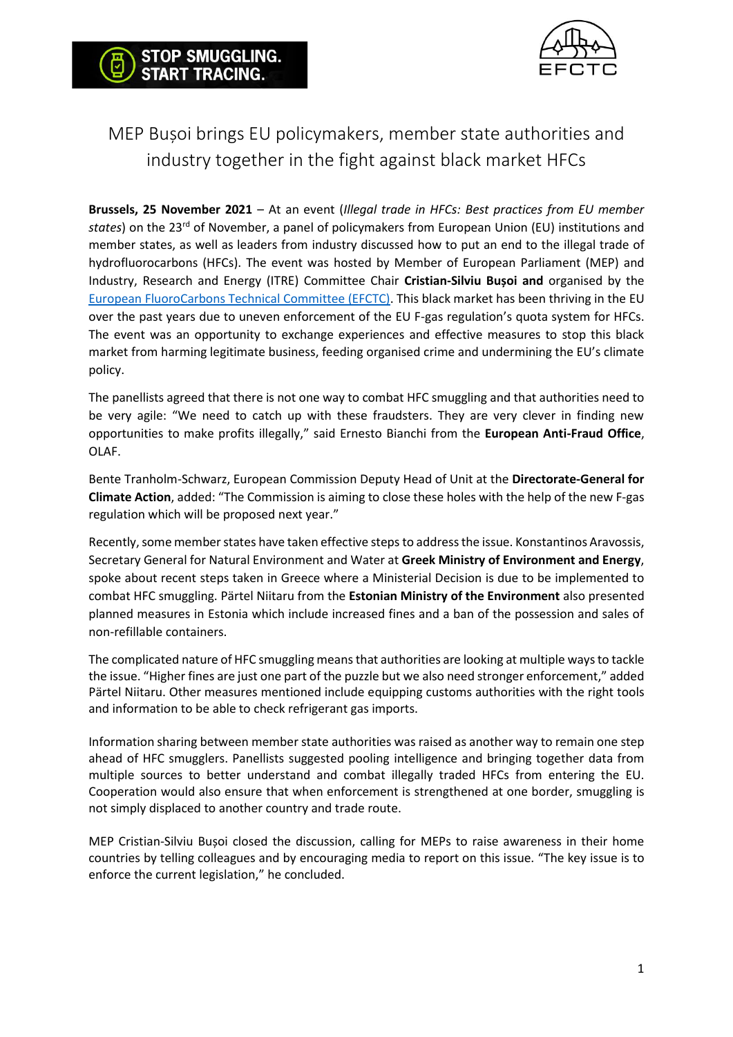

# MEP Bușoi brings EU policymakers, member state authorities and industry together in the fight against black market HFCs

STOP SMUGGLING. **START TRACING.** 

**Brussels, 25 November 2021** – At an event (*Illegal trade in HFCs: Best practices from EU member*  states) on the 23<sup>rd</sup> of November, a panel of policymakers from European Union (EU) institutions and member states, as well as leaders from industry discussed how to put an end to the illegal trade of hydrofluorocarbons (HFCs). The event was hosted by Member of European Parliament (MEP) and Industry, Research and Energy (ITRE) Committee Chair **Cristian-Silviu Bușoi and** organised by the [European FluoroCarbons Technical Committee \(EFCTC\).](https://stopillegalcooling.eu/) This black market has been thriving in the EU over the past years due to uneven enforcement of the EU F-gas regulation's quota system for HFCs. The event was an opportunity to exchange experiences and effective measures to stop this black market from harming legitimate business, feeding organised crime and undermining the EU's climate policy.

The panellists agreed that there is not one way to combat HFC smuggling and that authorities need to be very agile: "We need to catch up with these fraudsters. They are very clever in finding new opportunities to make profits illegally," said Ernesto Bianchi from the **European Anti-Fraud Office**, OLAF.

Bente Tranholm-Schwarz, European Commission Deputy Head of Unit at the **Directorate-General for Climate Action**, added: "The Commission is aiming to close these holes with the help of the new F-gas regulation which will be proposed next year."

Recently, some member states have taken effective steps to address the issue. Konstantinos Aravossis, Secretary General for Natural Environment and Water at **Greek Ministry of Environment and Energy**, spoke about recent steps taken in Greece where a Ministerial Decision is due to be implemented to combat HFC smuggling. Pärtel Niitaru from the **Estonian Ministry of the Environment** also presented planned measures in Estonia which include increased fines and a ban of the possession and sales of non-refillable containers.

The complicated nature of HFC smuggling means that authorities are looking at multiple ways to tackle the issue. "Higher fines are just one part of the puzzle but we also need stronger enforcement," added Pärtel Niitaru. Other measures mentioned include equipping customs authorities with the right tools and information to be able to check refrigerant gas imports.

Information sharing between member state authorities was raised as another way to remain one step ahead of HFC smugglers. Panellists suggested pooling intelligence and bringing together data from multiple sources to better understand and combat illegally traded HFCs from entering the EU. Cooperation would also ensure that when enforcement is strengthened at one border, smuggling is not simply displaced to another country and trade route.

MEP Cristian-Silviu Bușoi closed the discussion, calling for MEPs to raise awareness in their home countries by telling colleagues and by encouraging media to report on this issue. "The key issue is to enforce the current legislation," he concluded.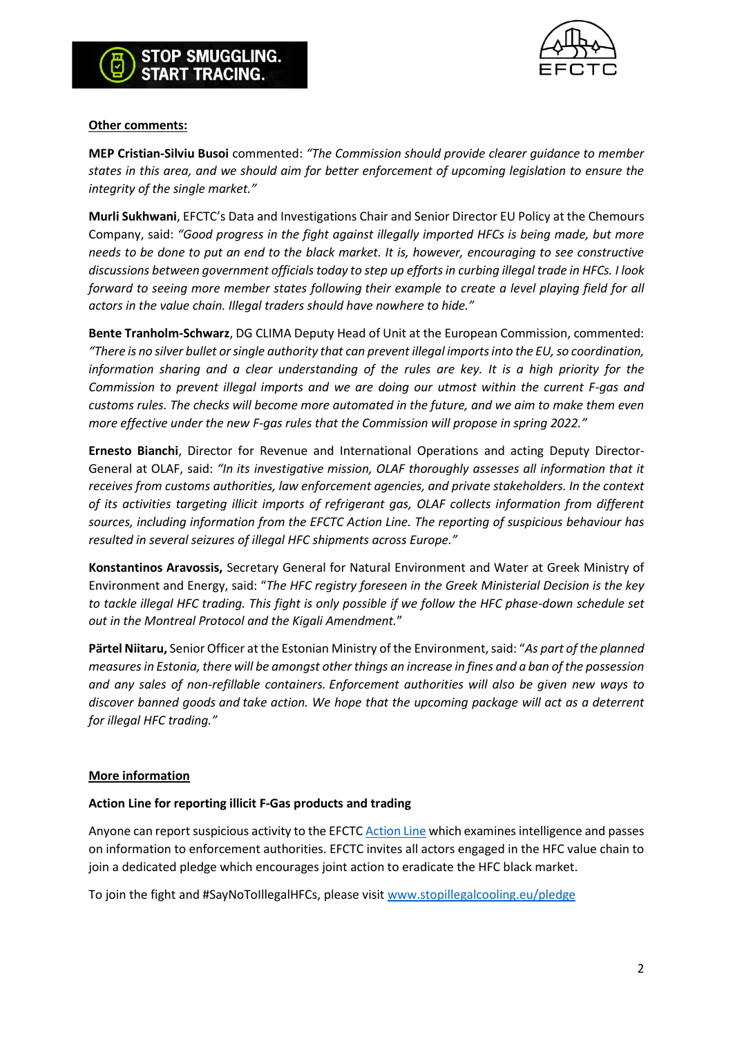



### **Other comments:**

**MEP Cristian-Silviu Busoi** commented: *"The Commission should provide clearer guidance to member states in this area, and we should aim for better enforcement of upcoming legislation to ensure the integrity of the single market."*

**Murli Sukhwani**, EFCTC's Data and Investigations Chair and Senior Director EU Policy at the Chemours Company, said: *"Good progress in the fight against illegally imported HFCs is being made, but more needs to be done to put an end to the black market. It is, however, encouraging to see constructive discussions between government officials today to step up efforts in curbing illegal trade in HFCs. I look forward to seeing more member states following their example to create a level playing field for all actors in the value chain. Illegal traders should have nowhere to hide."*

**Bente Tranholm-Schwarz**, DG CLIMA Deputy Head of Unit at the European Commission, commented: *"There is no silver bullet or single authority that can prevent illegal imports into the EU, so coordination, information sharing and a clear understanding of the rules are key. It is a high priority for the Commission to prevent illegal imports and we are doing our utmost within the current F-gas and customs rules. The checks will become more automated in the future, and we aim to make them even more effective under the new F-gas rules that the Commission will propose in spring 2022."*

**Ernesto Bianchi**, Director for Revenue and International Operations and acting Deputy Director-General at OLAF, said: *"In its investigative mission, OLAF thoroughly assesses all information that it receives from customs authorities, law enforcement agencies, and private stakeholders. In the context of its activities targeting illicit imports of refrigerant gas, OLAF collects information from different sources, including information from the EFCTC Action Line. The reporting of suspicious behaviour has resulted in several seizures of illegal HFC shipments across Europe."*

**Konstantinos Aravossis,** Secretary General for Natural Environment and Water at Greek Ministry of Environment and Energy, said: "*The HFC registry foreseen in the Greek Ministerial Decision is the key to tackle illegal HFC trading. This fight is only possible if we follow the HFC phase-down schedule set out in the Montreal Protocol and the Kigali Amendment.*"

**Pärtel Niitaru,** Senior Officer at the Estonian Ministry of the Environment, said: "*As part of the planned measures in Estonia, there will be amongst other things an increase in fines and a ban of the possession and any sales of non-refillable containers. Enforcement authorities will also be given new ways to discover banned goods and take action. We hope that the upcoming package will act as a deterrent for illegal HFC trading."*

## **More information**

#### **Action Line for reporting illicit F-Gas products and trading**

Anyone can report suspicious activity to the EFCTC [Action Line](https://efctc.integrityline.org/) which examines intelligence and passes on information to enforcement authorities. EFCTC invites all actors engaged in the HFC value chain to join a dedicated pledge which encourages joint action to eradicate the HFC black market.

To join the fight and #SayNoToIllegalHFCs, please visit [www.stopillegalcooling.eu/pledge](http://www.stopillegalcooling.eu/pledge)